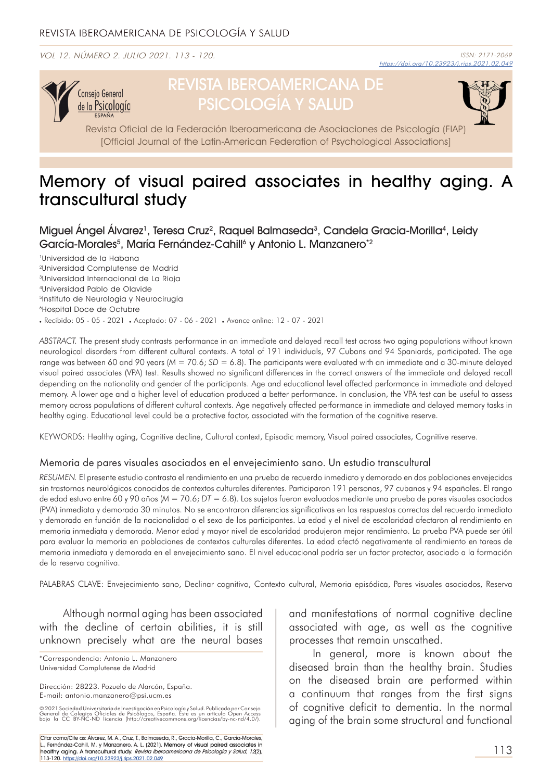VOL 12. NÚMERO 2. JULIO 2021. 113 - 120.



# REVISTA IBEROAMERICANA DE PSICOLOGÍA Y SALUD



Revista Oficial de la Federación Iberoamericana de Asociaciones de Psicología (FIAP) [Official Journal of the Latin-American Federation of Psychological Associations]

## Memory of visual paired associates in healthy aging. A transcultural study

Miguel Angel Alvarez<sup>1</sup>, Teresa Cruz<sup>2</sup>, Raquel Balmaseda<sup>3</sup>, Candela Gracia-Morilla<sup>4</sup>, Leidy García-Morales<sup>5</sup>, María Fernández-Cahill<sup>6</sup> y Antonio L. Manzanero\*<sup>2</sup>

1Universidad de la Habana 2Universidad Complutense de Madrid 3Universidad Internacional de La Rioja 4Universidad Pablo de Olavide <sup>5</sup>Instituto de Neurología y Neurocirugía 6Hospital Doce de Octubre . Recibido: 05 - 05 - 2021 . Aceptado: 07 - 06 - 2021 . Avance online: 12 - 07 - 2021

*ABSTRACT.* The present study contrasts performance in an immediate and delayed recall test across two aging populations without known neurological disorders from different cultural contexts. A total of 191 individuals, 97 Cubans and 94 Spaniards, participated. The age range was between 60 and 90 years ( $M = 70.6$ ;  $SD = 6.8$ ). The participants were evaluated with an immediate and a 30-minute delayed visual paired associates (VPA) test. Results showed no significant differences in the correct answers of the immediate and delayed recall depending on the nationality and gender of the participants. Age and educational level affected performance in immediate and delayed memory. A lower age and a higher level of education produced a better performance. In conclusion, the VPA test can be useful to assess memory across populations of different cultural contexts. Age negatively affected performance in immediate and delayed memory tasks in healthy aging. Educational level could be a protective factor, associated with the formation of the cognitive reserve.

KEYWORDS: Healthy aging, Cognitive decline, Cultural context, Episodic memory, Visual paired associates, Cognitive reserve.

#### Memoria de pares visuales asociados en el envejecimiento sano. Un estudio transcultural

*RESUMEN.* El presente estudio contrasta el rendimiento en una prueba de recuerdo inmediato y demorado en dos poblaciones envejecidas sin trastornos neurológicos conocidos de contextos culturales diferentes. Participaron 191 personas, 97 cubanos y 94 españoles. El rango de edad estuvo entre 60 y 90 años (*M* = 70.6; *DT* = 6.8). Los sujetos fueron evaluados mediante una prueba de pares visuales asociados (PVA) inmediata y demorada 30 minutos. No se encontraron diferencias significativas en las respuestas correctas del recuerdo inmediato y demorado en función de la nacionalidad o el sexo de los participantes. La edad y el nivel de escolaridad afectaron al rendimiento en memoria inmediata y demorada. Menor edad y mayor nivel de escolaridad produjeron mejor rendimiento. La prueba PVA puede ser útil para evaluar la memoria en poblaciones de contextos culturales diferentes. La edad afectó negativamente al rendimiento en tareas de memoria inmediata y demorada en el envejecimiento sano. El nivel educacional podría ser un factor protector, asociado a la formación de la reserva cognitiva.

PALABRAS CLAVE: Envejecimiento sano, Declinar cognitivo, Contexto cultural, Memoria episódica, Pares visuales asociados, Reserva

Although normal aging has been associated with the decline of certain abilities, it is still unknown precisely what are the neural bases

© 2021 Sociedad Universitaria de Investigación en Psicología y Salud. Publicado por Consejo<br>General de Colegios Oficiales de Psicólogos, España. Este es un artículo Open Access<br>bajo la CC BY-NC-ND licencia (htt

Citar como/Cite as: Álvarez, M. A., Cruz, T., Balmaseda, R., Gracia-Morilla, C., García-Morales, L., Fernández-Cahill, M. y Manzanero, A. L. (2021). Memory of visual paired associates in healthy aging. A transcultural study. *Revista Iberoamericana de Psicología y Salud, 12*(2), *.*<br>113-120. <u>https://doi.org/10.23923/j.rips.2021.02.049</u> and manifestations of normal cognitive decline associated with age, as well as the cognitive processes that remain unscathed.

In general, more is known about the diseased brain than the healthy brain. Studies on the diseased brain are performed within a continuum that ranges from the first signs of cognitive deficit to dementia. In the normal aging of the brain some structural and functional

<sup>\*</sup>Correspondencia: Antonio L. Manzanero Universidad Complutense de Madrid

Dirección: 28223. Pozuelo de Alarcón, España. E-mail: antonio.manzanero@psi.ucm.es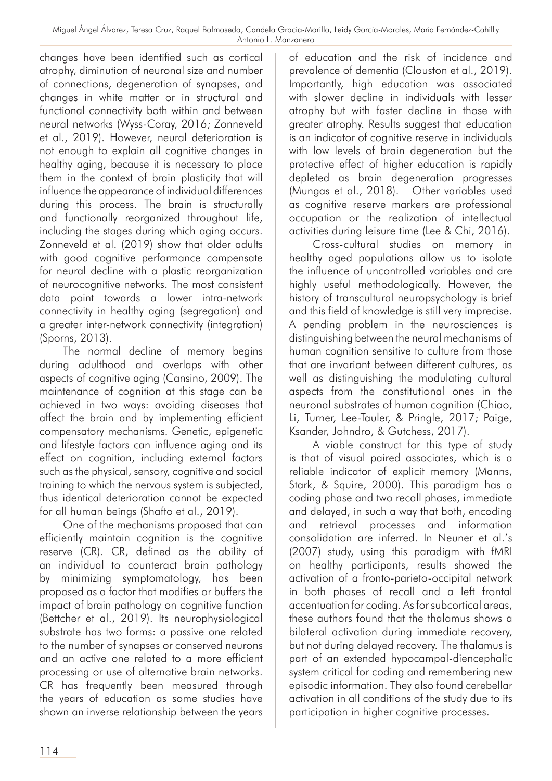changes have been identified such as cortical atrophy, diminution of neuronal size and number of connections, degeneration of synapses, and changes in white matter or in structural and functional connectivity both within and between neural networks (Wyss-Coray, 2016; Zonneveld et al., 2019). However, neural deterioration is not enough to explain all cognitive changes in healthy aging, because it is necessary to place them in the context of brain plasticity that will influence the appearance of individual differences during this process. The brain is structurally and functionally reorganized throughout life, including the stages during which aging occurs. Zonneveld et al. (2019) show that older adults with good cognitive performance compensate for neural decline with a plastic reorganization of neurocognitive networks. The most consistent data point towards a lower intra-network connectivity in healthy aging (segregation) and a greater inter-network connectivity (integration) (Sporns, 2013).

The normal decline of memory begins during adulthood and overlaps with other aspects of cognitive aging (Cansino, 2009). The maintenance of cognition at this stage can be achieved in two ways: avoiding diseases that affect the brain and by implementing efficient compensatory mechanisms. Genetic, epigenetic and lifestyle factors can influence aging and its effect on cognition, including external factors such as the physical, sensory, cognitive and social training to which the nervous system is subjected, thus identical deterioration cannot be expected for all human beings (Shafto et al., 2019).

One of the mechanisms proposed that can efficiently maintain cognition is the cognitive reserve (CR). CR, defined as the ability of an individual to counteract brain pathology by minimizing symptomatology, has been proposed as a factor that modifies or buffers the impact of brain pathology on cognitive function (Bettcher et al., 2019). Its neurophysiological substrate has two forms: a passive one related to the number of synapses or conserved neurons and an active one related to a more efficient processing or use of alternative brain networks. CR has frequently been measured through the years of education as some studies have shown an inverse relationship between the years of education and the risk of incidence and prevalence of dementia (Clouston et al., 2019). Importantly, high education was associated with slower decline in individuals with lesser atrophy but with faster decline in those with greater atrophy. Results suggest that education is an indicator of cognitive reserve in individuals with low levels of brain degeneration but the protective effect of higher education is rapidly depleted as brain degeneration progresses (Mungas et al., 2018). Other variables used as cognitive reserve markers are professional occupation or the realization of intellectual activities during leisure time (Lee & Chi, 2016).

Cross-cultural studies on memory in healthy aged populations allow us to isolate the influence of uncontrolled variables and are highly useful methodologically. However, the history of transcultural neuropsychology is brief and this field of knowledge is still very imprecise. A pending problem in the neurosciences is distinguishing between the neural mechanisms of human cognition sensitive to culture from those that are invariant between different cultures, as well as distinguishing the modulating cultural aspects from the constitutional ones in the neuronal substrates of human cognition (Chiao, Li, Turner, Lee-Tauler, & Pringle, 2017; Paige, Ksander, Johndro, & Gutchess, 2017).

A viable construct for this type of study is that of visual paired associates, which is a reliable indicator of explicit memory (Manns, Stark, & Squire, 2000). This paradigm has a coding phase and two recall phases, immediate and delayed, in such a way that both, encoding and retrieval processes and information consolidation are inferred. In Neuner et al.'s (2007) study, using this paradigm with fMRI on healthy participants, results showed the activation of a fronto-parieto-occipital network in both phases of recall and a left frontal accentuation for coding. As for subcortical areas, these authors found that the thalamus shows a bilateral activation during immediate recovery, but not during delayed recovery. The thalamus is part of an extended hypocampal-diencephalic system critical for coding and remembering new episodic information. They also found cerebellar activation in all conditions of the study due to its participation in higher cognitive processes.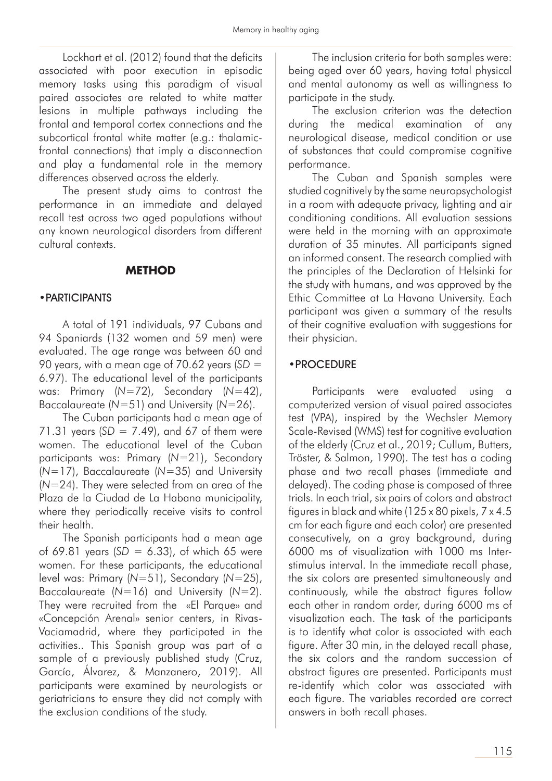Lockhart et al. (2012) found that the deficits associated with poor execution in episodic memory tasks using this paradigm of visual paired associates are related to white matter lesions in multiple pathways including the frontal and temporal cortex connections and the subcortical frontal white matter (e.g.: thalamicfrontal connections) that imply a disconnection and play a fundamental role in the memory differences observed across the elderly.

The present study aims to contrast the performance in an immediate and delayed recall test across two aged populations without any known neurological disorders from different cultural contexts.

#### **METHOD**

#### •PARTICIPANTS

A total of 191 individuals, 97 Cubans and 94 Spaniards (132 women and 59 men) were evaluated. The age range was between 60 and 90 years, with a mean age of 70.62 years (*SD* = 6.97). The educational level of the participants was: Primary (*N*=72), Secondary (*N*=42), Baccalaureate (*N*=51) and University (*N*=26).

The Cuban participants had a mean age of 71.31 years (*SD* = 7.49), and 67 of them were women. The educational level of the Cuban participants was: Primary (*N*=21), Secondary (*N*=17), Baccalaureate (*N*=35) and University (*N*=24). They were selected from an area of the Plaza de la Ciudad de La Habana municipality, where they periodically receive visits to control their health.

The Spanish participants had a mean age of 69.81 years (*SD* = 6.33), of which 65 were women. For these participants, the educational level was: Primary (*N*=51), Secondary (*N*=25), Baccalaureate (*N*=16) and University (*N*=2). They were recruited from the «El Parque» and «Concepción Arenal» senior centers, in Rivas-Vaciamadrid, where they participated in the activities.. This Spanish group was part of a sample of a previously published study (Cruz, García, Álvarez, & Manzanero, 2019). All participants were examined by neurologists or geriatricians to ensure they did not comply with the exclusion conditions of the study.

The inclusion criteria for both samples were: being aged over 60 years, having total physical and mental autonomy as well as willingness to participate in the study.

The exclusion criterion was the detection during the medical examination of any neurological disease, medical condition or use of substances that could compromise cognitive performance.

The Cuban and Spanish samples were studied cognitively by the same neuropsychologist in a room with adequate privacy, lighting and air conditioning conditions. All evaluation sessions were held in the morning with an approximate duration of 35 minutes. All participants signed an informed consent. The research complied with the principles of the Declaration of Helsinki for the study with humans, and was approved by the Ethic Committee at La Havana University. Each participant was given a summary of the results of their cognitive evaluation with suggestions for their physician.

#### •PROCEDURE

Participants were evaluated using a computerized version of visual paired associates test (VPA), inspired by the Wechsler Memory Scale-Revised (WMS) test for cognitive evaluation of the elderly (Cruz et al., 2019; Cullum, Butters, Tröster, & Salmon, 1990). The test has a coding phase and two recall phases (immediate and delayed). The coding phase is composed of three trials. In each trial, six pairs of colors and abstract figures in black and white (125 x 80 pixels, 7 x 4.5 cm for each figure and each color) are presented consecutively, on a gray background, during 6000 ms of visualization with 1000 ms Interstimulus interval. In the immediate recall phase, the six colors are presented simultaneously and continuously, while the abstract figures follow each other in random order, during 6000 ms of visualization each. The task of the participants is to identify what color is associated with each figure. After 30 min, in the delayed recall phase, the six colors and the random succession of abstract figures are presented. Participants must re-identify which color was associated with each figure. The variables recorded are correct answers in both recall phases.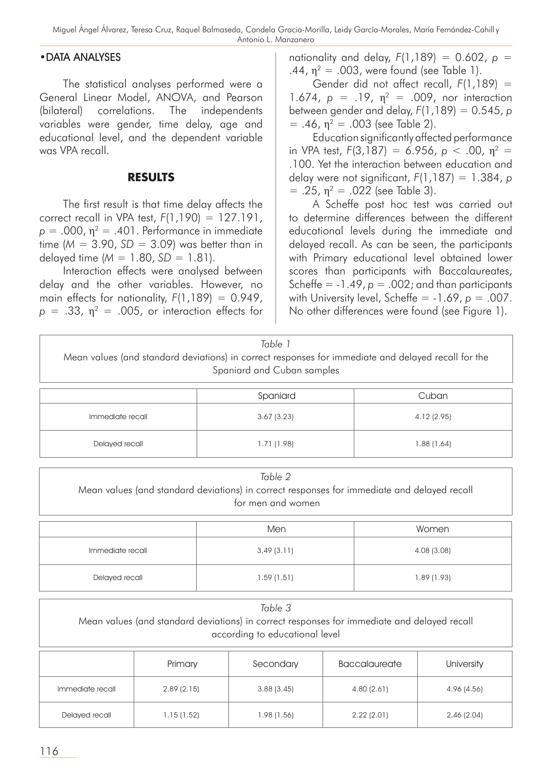#### •DATA ANALYSES

The statistical analyses performed were a General Linear Model, ANOVA, and Pearson (bilateral) correlations. The independents variables were gender, time delay, age and educational level, and the dependent variable was VPA recall.

#### **RESULTS**

The first result is that time delay affects the correct recall in VPA test, *F*(1,190) = 127.191,  $p = .000$ ,  $\eta^2 = .401$ . Performance in immediate time ( $M = 3.90$ ,  $SD = 3.09$ ) was better than in delayed time (*M* = 1.80, *SD* = 1.81).

Interaction effects were analysed between delay and the other variables. However, no main effects for nationality,  $F(1,189) = 0.949$ ,  $p = .33$ ,  $\eta^2 = .005$ , or interaction effects for nationality and delay,  $F(1,189) = 0.602$ ,  $p =$ .44,  $η^2 = .003$ , were found (see Table 1).

Gender did not affect recall, *F*(1,189) = 1.674,  $p = .19$ ,  $\eta^2 = .009$ , nor interaction between gender and delay, *F*(1,189) = 0.545, *p*  $= .46$ ,  $\eta^2 = .003$  (see Table 2).

Education significantly affected performance in VPA test,  $F(3,187) = 6.956$ ,  $p < .00$ ,  $p<sup>2</sup> =$ .100. Yet the interaction between education and delay were not significant, *F*(1,187) = 1.384, *p*  $= .25$ ,  $\eta^2 = .022$  (see Table 3).

A Scheffe post hoc test was carried out to determine differences between the different educational levels during the immediate and delayed recall. As can be seen, the participants with Primary educational level obtained lower scores than participants with Baccalaureates, Scheffe =  $-1.49$ ,  $p = .002$ ; and than participants with University level, Scheffe =  $-1.69$ ,  $p = .007$ . No other differences were found (see Figure 1).

| Table 1<br>Mean values (and standard deviations) in correct responses for immediate and delayed recall for the<br>Spaniard and Cuban samples |             |             |  |  |  |
|----------------------------------------------------------------------------------------------------------------------------------------------|-------------|-------------|--|--|--|
|                                                                                                                                              | Spaniard    | Cuban       |  |  |  |
| Immediate recall                                                                                                                             | 3.67(3.23)  | 4.12(2.95)  |  |  |  |
| Delayed recall                                                                                                                               | 1.71 (1.98) | 1.88 (1.64) |  |  |  |

| Table 2<br>Mean values (and standard deviations) in correct responses for immediate and delayed recall<br>for men and women |            |             |  |  |  |
|-----------------------------------------------------------------------------------------------------------------------------|------------|-------------|--|--|--|
|                                                                                                                             | Men        | Women       |  |  |  |
| Immediate recall                                                                                                            | 3.49(3.11) | 4.08 (3.08) |  |  |  |
| Delayed recall                                                                                                              | 1.59(1.51) | 1.89(1.93)  |  |  |  |
|                                                                                                                             | Table 3    |             |  |  |  |

| Mean values (and standard deviations) in correct responses for immediate and delayed recall<br>according to educational level |            |             |                      |             |  |
|-------------------------------------------------------------------------------------------------------------------------------|------------|-------------|----------------------|-------------|--|
|                                                                                                                               | Primary    | Secondary   | <b>Baccalaureate</b> | University  |  |
| Immediate recall                                                                                                              | 2.89(2.15) | 3.88(3.45)  | 4.80(2.61)           | 4.96 (4.56) |  |
| Delayed recall                                                                                                                | 1.15(1.52) | 1.98 (1.56) | 2.22(2.01)           | 2.46(2.04)  |  |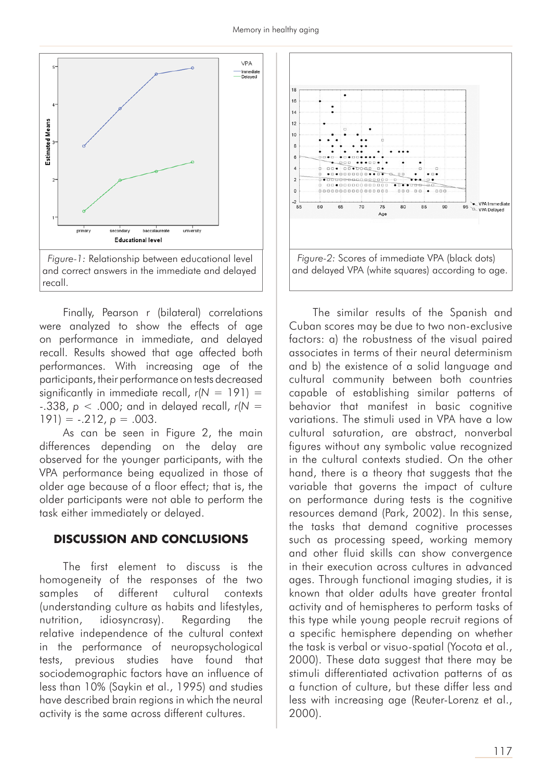

Finally, Pearson r (bilateral) correlations were analyzed to show the effects of age on performance in immediate, and delayed recall. Results showed that age affected both performances. With increasing age of the participants, their performance on tests decreased significantly in immediate recall,  $r(N = 191) =$ -.338, *p* < .000; and in delayed recall, *r*(*N* =  $191$ ) =  $-0.212$ ,  $p = 0.003$ .

As can be seen in Figure 2, the main differences depending on the delay are observed for the younger participants, with the VPA performance being equalized in those of older age because of a floor effect; that is, the older participants were not able to perform the task either immediately or delayed.

#### **DISCUSSION AND CONCLUSIONS**

The first element to discuss is the homogeneity of the responses of the two samples of different cultural contexts (understanding culture as habits and lifestyles, nutrition, idiosyncrasy). Regarding the relative independence of the cultural context in the performance of neuropsychological tests, previous studies have found that sociodemographic factors have an influence of less than 10% (Saykin et al., 1995) and studies have described brain regions in which the neural activity is the same across different cultures.



The similar results of the Spanish and Cuban scores may be due to two non-exclusive factors: a) the robustness of the visual paired associates in terms of their neural determinism and b) the existence of a solid language and cultural community between both countries capable of establishing similar patterns of behavior that manifest in basic cognitive variations. The stimuli used in VPA have a low cultural saturation, are abstract, nonverbal figures without any symbolic value recognized in the cultural contexts studied. On the other hand, there is a theory that suggests that the variable that governs the impact of culture on performance during tests is the cognitive resources demand (Park, 2002). In this sense, the tasks that demand cognitive processes such as processing speed, working memory and other fluid skills can show convergence in their execution across cultures in advanced ages. Through functional imaging studies, it is known that older adults have greater frontal activity and of hemispheres to perform tasks of this type while young people recruit regions of a specific hemisphere depending on whether the task is verbal or visuo-spatial (Yocota et al., 2000). These data suggest that there may be stimuli differentiated activation patterns of as a function of culture, but these differ less and less with increasing age (Reuter-Lorenz et al., 2000).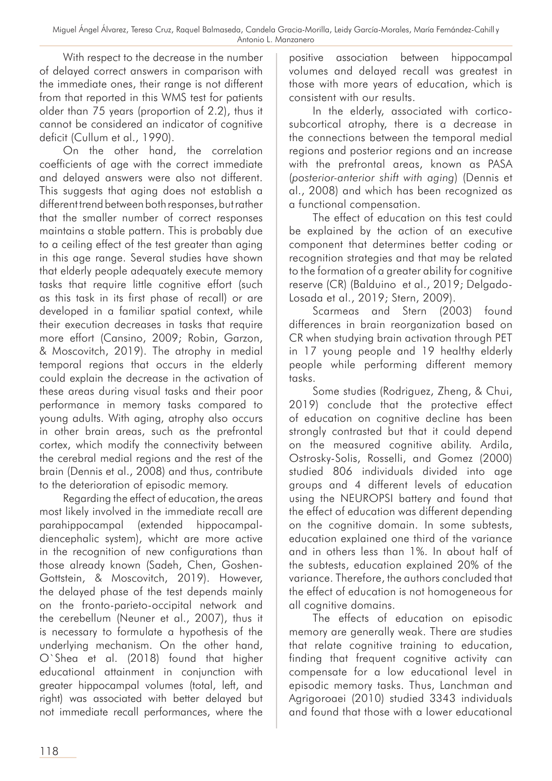With respect to the decrease in the number of delayed correct answers in comparison with the immediate ones, their range is not different from that reported in this WMS test for patients older than 75 years (proportion of 2.2), thus it cannot be considered an indicator of cognitive deficit (Cullum et al., 1990).

On the other hand, the correlation coefficients of age with the correct immediate and delayed answers were also not different. This suggests that aging does not establish a different trend between both responses, but rather that the smaller number of correct responses maintains a stable pattern. This is probably due to a ceiling effect of the test greater than aging in this age range. Several studies have shown that elderly people adequately execute memory tasks that require little cognitive effort (such as this task in its first phase of recall) or are developed in a familiar spatial context, while their execution decreases in tasks that require more effort (Cansino, 2009; Robin, Garzon, & Moscovitch, 2019). The atrophy in medial temporal regions that occurs in the elderly could explain the decrease in the activation of these areas during visual tasks and their poor performance in memory tasks compared to young adults. With aging, atrophy also occurs in other brain areas, such as the prefrontal cortex, which modify the connectivity between the cerebral medial regions and the rest of the brain (Dennis et al., 2008) and thus, contribute to the deterioration of episodic memory.

Regarding the effect of education, the areas most likely involved in the immediate recall are parahippocampal (extended hippocampaldiencephalic system), whicht are more active in the recognition of new configurations than those already known (Sadeh, Chen, Goshen-Gottstein, & Moscovitch, 2019). However, the delayed phase of the test depends mainly on the fronto-parieto-occipital network and the cerebellum (Neuner et al., 2007), thus it is necessary to formulate a hypothesis of the underlying mechanism. On the other hand, O`Shea et al. (2018) found that higher educational attainment in conjunction with greater hippocampal volumes (total, left, and right) was associated with better delayed but not immediate recall performances, where the

positive association between hippocampal volumes and delayed recall was greatest in those with more years of education, which is consistent with our results.

In the elderly, associated with corticosubcortical atrophy, there is a decrease in the connections between the temporal medial regions and posterior regions and an increase with the prefrontal areas, known as PASA (*posterior-anterior shift with aging*) (Dennis et al., 2008) and which has been recognized as a functional compensation.

The effect of education on this test could be explained by the action of an executive component that determines better coding or recognition strategies and that may be related to the formation of a greater ability for cognitive reserve (CR) (Balduino et al., 2019; Delgado-Losada et al., 2019; Stern, 2009).

Scarmeas and Stern (2003) found differences in brain reorganization based on CR when studying brain activation through PET in 17 young people and 19 healthy elderly people while performing different memory tasks.

Some studies (Rodriguez, Zheng, & Chui, 2019) conclude that the protective effect of education on cognitive decline has been strongly contrasted but that it could depend on the measured cognitive ability. Ardila, Ostrosky-Solis, Rosselli, and Gomez (2000) studied 806 individuals divided into age groups and 4 different levels of education using the NEUROPSI battery and found that the effect of education was different depending on the cognitive domain. In some subtests, education explained one third of the variance and in others less than 1%. In about half of the subtests, education explained 20% of the variance. Therefore, the authors concluded that the effect of education is not homogeneous for all cognitive domains.

The effects of education on episodic memory are generally weak. There are studies that relate cognitive training to education, finding that frequent cognitive activity can compensate for a low educational level in episodic memory tasks. Thus, Lanchman and Agrigoroaei (2010) studied 3343 individuals and found that those with a lower educational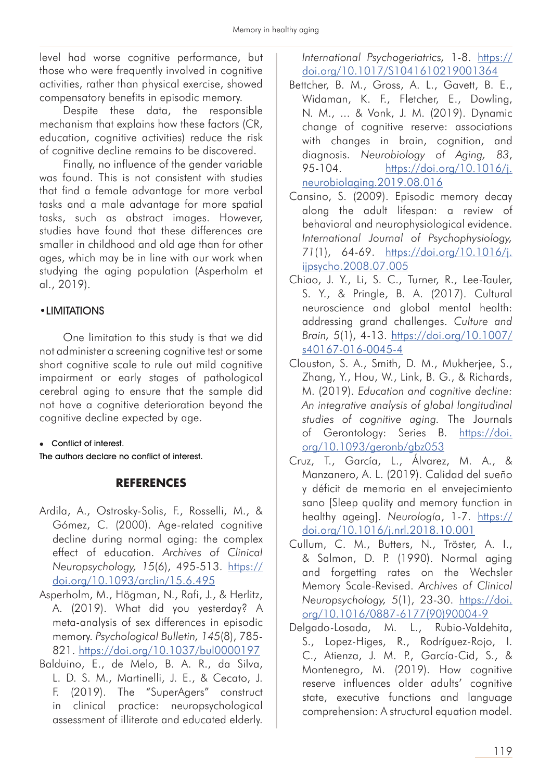level had worse cognitive performance, but those who were frequently involved in cognitive activities, rather than physical exercise, showed compensatory benefits in episodic memory.

Despite these data, the responsible mechanism that explains how these factors (CR, education, cognitive activities) reduce the risk of cognitive decline remains to be discovered.

Finally, no influence of the gender variable was found. This is not consistent with studies that find a female advantage for more verbal tasks and a male advantage for more spatial tasks, such as abstract images. However, studies have found that these differences are smaller in childhood and old age than for other ages, which may be in line with our work when studying the aging population (Asperholm et al., 2019).

## •LIMITATIONS

One limitation to this study is that we did not administer a screening cognitive test or some short cognitive scale to rule out mild cognitive impairment or early stages of pathological cerebral aging to ensure that the sample did not have a cognitive deterioration beyond the cognitive decline expected by age.

**Conflict of interest.** 

The authors declare no conflict of interest.

## **REFERENCES**

- Ardila, A., Ostrosky-Solis, F., Rosselli, M., & Gómez, C. (2000). Age-related cognitive decline during normal aging: the complex effect of education. *Archives of Clinical Neuropsychology, 15*(6), 495-513. https:// doi.org/10.1093/arclin/15.6.495
- Asperholm, M., Högman, N., Rafi, J., & Herlitz, A. (2019). What did you yesterday? A meta-analysis of sex differences in episodic memory. *Psychological Bulletin, 145*(8), 785- 821. https://doi.org/10.1037/bul0000197
- Balduino, E., de Melo, B. A. R., da Silva, L. D. S. M., Martinelli, J. E., & Cecato, J. F. (2019). The "SuperAgers" construct in clinical practice: neuropsychological assessment of illiterate and educated elderly.

*International Psychogeriatrics,* 1-8. https:// doi.org/10.1017/S1041610219001364

- Bettcher, B. M., Gross, A. L., Gavett, B. E., Widaman, K. F., Fletcher, E., Dowling, N. M., ... & Vonk, J. M. (2019). Dynamic change of cognitive reserve: associations with changes in brain, cognition, and diagnosis. *Neurobiology of Aging, 83*, 95-104. https://doi.org/10.1016/j. neurobiolaging.2019.08.016
- Cansino, S. (2009). Episodic memory decay along the adult lifespan: a review of behavioral and neurophysiological evidence. *International Journal of Psychophysiology, 71*(1), 64-69. https://doi.org/10.1016/j. ijpsycho.2008.07.005
- Chiao, J. Y., Li, S. C., Turner, R., Lee-Tauler, S. Y., & Pringle, B. A. (2017). Cultural neuroscience and global mental health: addressing grand challenges. *Culture and Brain, 5*(1), 4-13. https://doi.org/10.1007/ s40167-016-0045-4
- Clouston, S. A., Smith, D. M., Mukherjee, S., Zhang, Y., Hou, W., Link, B. G., & Richards, M. (2019). *Education and cognitive decline: An integrative analysis of global longitudinal studies of cognitive aging.* The Journals of Gerontology: Series B. https://doi. org/10.1093/geronb/gbz053
- Cruz, T., García, L., Álvarez, M. A., & Manzanero, A. L. (2019). Calidad del sueño y déficit de memoria en el envejecimiento sano [Sleep quality and memory function in healthy ageing]. *Neurología*, 1-7. https:// doi.org/10.1016/j.nrl.2018.10.001
- Cullum, C. M., Butters, N., Tröster, A. I., & Salmon, D. P. (1990). Normal aging and forgetting rates on the Wechsler Memory Scale-Revised. *Archives of Clinical Neuropsychology, 5*(1), 23-30. https://doi. org/10.1016/0887-6177(90)90004-9
- Delgado-Losada, M. L., Rubio-Valdehita, S., Lopez-Higes, R., Rodríguez-Rojo, I. C., Atienza, J. M. P., García-Cid, S., & Montenegro, M. (2019). How cognitive reserve influences older adults' cognitive state, executive functions and language comprehension: A structural equation model.